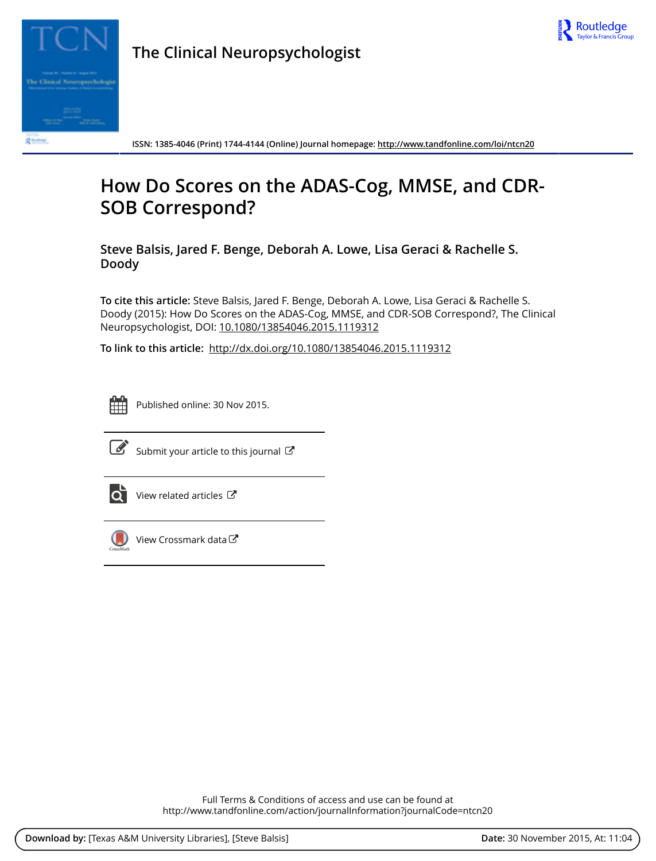

**ISSN: 1385-4046 (Print) 1744-4144 (Online) Journal homepage:<http://www.tandfonline.com/loi/ntcn20>**

# **How Do Scores on the ADAS-Cog, MMSE, and CDR-SOB Correspond?**

**Steve Balsis, Jared F. Benge, Deborah A. Lowe, Lisa Geraci & Rachelle S. Doody**

**To cite this article:** Steve Balsis, Jared F. Benge, Deborah A. Lowe, Lisa Geraci & Rachelle S. Doody (2015): How Do Scores on the ADAS-Cog, MMSE, and CDR-SOB Correspond?, The Clinical Neuropsychologist, DOI: [10.1080/13854046.2015.1119312](http://www.tandfonline.com/action/showCitFormats?doi=10.1080/13854046.2015.1119312)

**To link to this article:** <http://dx.doi.org/10.1080/13854046.2015.1119312>



Published online: 30 Nov 2015.



 $\overrightarrow{S}$  [Submit your article to this journal](http://www.tandfonline.com/action/authorSubmission?journalCode=ntcn20&page=instructions)  $\overrightarrow{S}$ 



[View related articles](http://www.tandfonline.com/doi/mlt/10.1080/13854046.2015.1119312) C



[View Crossmark data](http://crossmark.crossref.org/dialog/?doi=10.1080/13854046.2015.1119312&domain=pdf&date_stamp=2015-11-30)

Full Terms & Conditions of access and use can be found at <http://www.tandfonline.com/action/journalInformation?journalCode=ntcn20>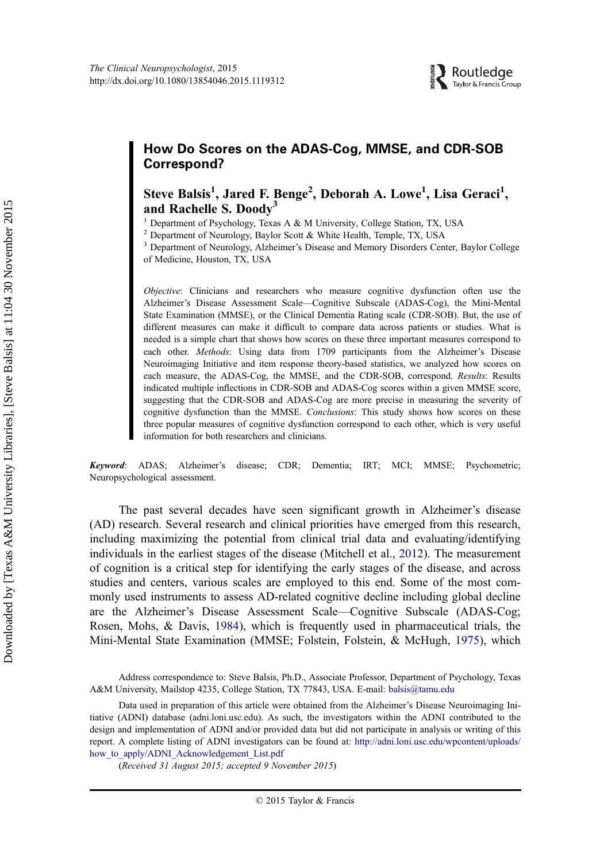# How Do Scores on the ADAS-Cog, MMSE, and CDR-SOB Correspond?

Steve Balsis<sup>1</sup>, Jared F. Benge<sup>2</sup>, Deborah A. Lowe<sup>1</sup>, Lisa Geraci<sup>1</sup>, and Rachelle S. Doodv<sup>3</sup>

<sup>1</sup> Department of Psychology, Texas A & M University, College Station, TX, USA

<sup>2</sup> Department of Neurology, Baylor Scott & White Health, Temple, TX, USA

<sup>3</sup> Department of Neurology, Alzheimer's Disease and Memory Disorders Center, Baylor College of Medicine, Houston, TX, USA

Objective: Clinicians and researchers who measure cognitive dysfunction often use the Alzheimer's Disease Assessment Scale—Cognitive Subscale (ADAS-Cog), the Mini-Mental State Examination (MMSE), or the Clinical Dementia Rating scale (CDR-SOB). But, the use of different measures can make it difficult to compare data across patients or studies. What is needed is a simple chart that shows how scores on these three important measures correspond to each other. Methods: Using data from 1709 participants from the Alzheimer's Disease Neuroimaging Initiative and item response theory-based statistics, we analyzed how scores on each measure, the ADAS-Cog, the MMSE, and the CDR-SOB, correspond. Results: Results indicated multiple inflections in CDR-SOB and ADAS-Cog scores within a given MMSE score, suggesting that the CDR-SOB and ADAS-Cog are more precise in measuring the severity of cognitive dysfunction than the MMSE. Conclusions: This study shows how scores on these three popular measures of cognitive dysfunction correspond to each other, which is very useful information for both researchers and clinicians.

Keyword: ADAS; Alzheimer's disease; CDR; Dementia; IRT; MCI; MMSE; Psychometric; Neuropsychological assessment.

The past several decades have seen significant growth in Alzheimer's disease (AD) research. Several research and clinical priorities have emerged from this research, including maximizing the potential from clinical trial data and evaluating/identifying individuals in the earliest stages of the disease (Mitchell et al., [2012](#page-8-0)). The measurement of cognition is a critical step for identifying the early stages of the disease, and across studies and centers, various scales are employed to this end. Some of the most commonly used instruments to assess AD-related cognitive decline including global decline are the Alzheimer's Disease Assessment Scale—Cognitive Subscale (ADAS-Cog; Rosen, Mohs, & Davis, [1984\)](#page-8-0), which is frequently used in pharmaceutical trials, the Mini-Mental State Examination (MMSE; Folstein, Folstein, & McHugh, [1975](#page-8-0)), which

Address correspondence to: Steve Balsis, Ph.D., Associate Professor, Department of Psychology, Texas A&M University, Mailstop 4235, College Station, TX 77843, USA. E-mail: [balsis@tamu.edu](mailto:balsis@tamu.edu)

Data used in preparation of this article were obtained from the Alzheimer's Disease Neuroimaging Initiative (ADNI) database (adni.loni.usc.edu). As such, the investigators within the ADNI contributed to the design and implementation of ADNI and/or provided data but did not participate in analysis or writing of this report. A complete listing of ADNI investigators can be found at: [http://adni.loni.usc.edu/wpcontent/uploads/](http://adni.loni.usc.edu/wpcontent/uploads/how_to_apply/ADNI_Acknowledgement_List.pdf) how to apply/ADNI\_Acknowledgement\_List.pdf

<sup>(</sup>Received 31 August 2015; accepted 9 November 2015)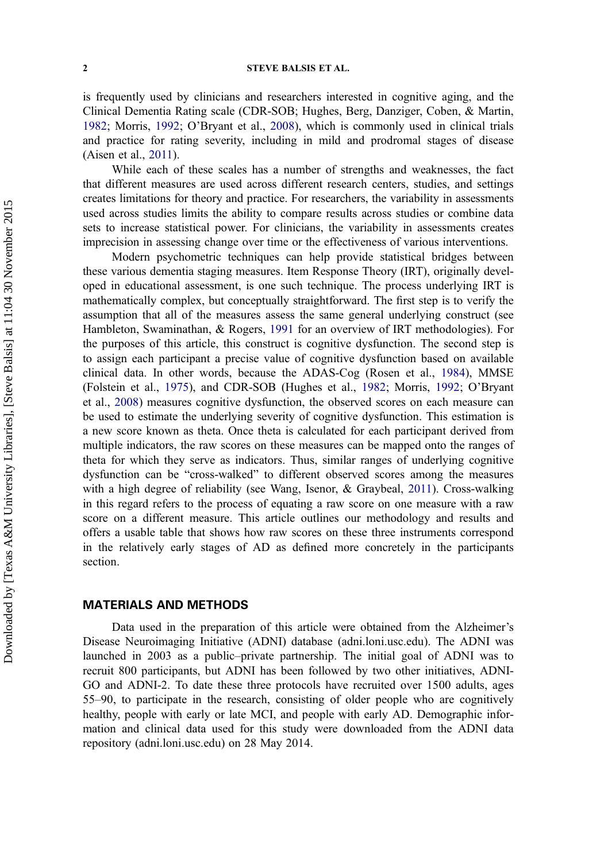is frequently used by clinicians and researchers interested in cognitive aging, and the Clinical Dementia Rating scale (CDR-SOB; Hughes, Berg, Danziger, Coben, & Martin, [1982;](#page-8-0) Morris, [1992;](#page-8-0) O'Bryant et al., [2008](#page-8-0)), which is commonly used in clinical trials and practice for rating severity, including in mild and prodromal stages of disease (Aisen et al., [2011](#page-7-0)).

While each of these scales has a number of strengths and weaknesses, the fact that different measures are used across different research centers, studies, and settings creates limitations for theory and practice. For researchers, the variability in assessments used across studies limits the ability to compare results across studies or combine data sets to increase statistical power. For clinicians, the variability in assessments creates imprecision in assessing change over time or the effectiveness of various interventions.

Modern psychometric techniques can help provide statistical bridges between these various dementia staging measures. Item Response Theory (IRT), originally developed in educational assessment, is one such technique. The process underlying IRT is mathematically complex, but conceptually straightforward. The first step is to verify the assumption that all of the measures assess the same general underlying construct (see Hambleton, Swaminathan, & Rogers, [1991](#page-8-0) for an overview of IRT methodologies). For the purposes of this article, this construct is cognitive dysfunction. The second step is to assign each participant a precise value of cognitive dysfunction based on available clinical data. In other words, because the ADAS-Cog (Rosen et al., [1984\)](#page-8-0), MMSE (Folstein et al., [1975](#page-8-0)), and CDR-SOB (Hughes et al., [1982](#page-8-0); Morris, [1992;](#page-8-0) O'Bryant et al., [2008](#page-8-0)) measures cognitive dysfunction, the observed scores on each measure can be used to estimate the underlying severity of cognitive dysfunction. This estimation is a new score known as theta. Once theta is calculated for each participant derived from multiple indicators, the raw scores on these measures can be mapped onto the ranges of theta for which they serve as indicators. Thus, similar ranges of underlying cognitive dysfunction can be "cross-walked" to different observed scores among the measures with a high degree of reliability (see Wang, Isenor, & Graybeal, [2011](#page-8-0)). Cross-walking in this regard refers to the process of equating a raw score on one measure with a raw score on a different measure. This article outlines our methodology and results and offers a usable table that shows how raw scores on these three instruments correspond in the relatively early stages of AD as defined more concretely in the participants section.

# MATERIALS AND METHODS

Data used in the preparation of this article were obtained from the Alzheimer's Disease Neuroimaging Initiative (ADNI) database (adni.loni.usc.edu). The ADNI was launched in 2003 as a public–private partnership. The initial goal of ADNI was to recruit 800 participants, but ADNI has been followed by two other initiatives, ADNI-GO and ADNI-2. To date these three protocols have recruited over 1500 adults, ages 55–90, to participate in the research, consisting of older people who are cognitively healthy, people with early or late MCI, and people with early AD. Demographic information and clinical data used for this study were downloaded from the ADNI data repository (adni.loni.usc.edu) on 28 May 2014.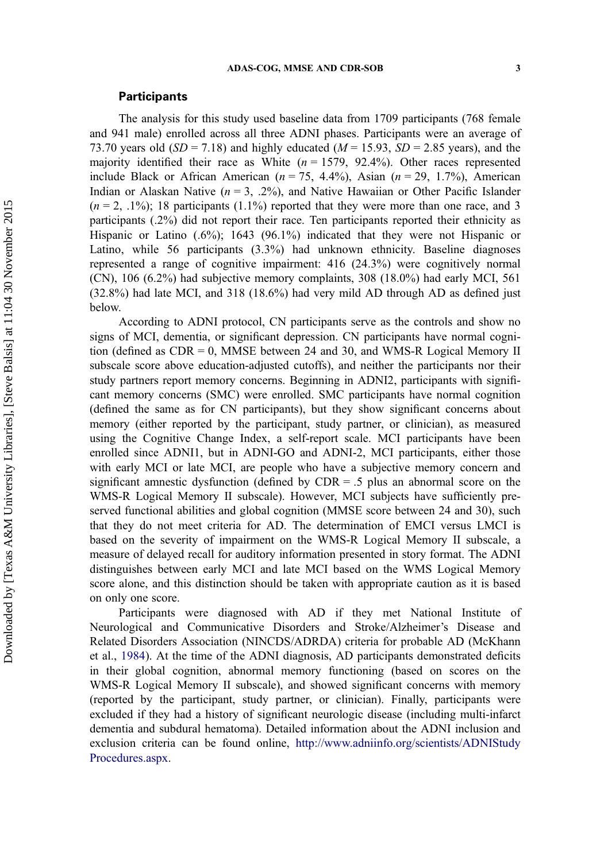### **Participants**

The analysis for this study used baseline data from 1709 participants (768 female and 941 male) enrolled across all three ADNI phases. Participants were an average of 73.70 years old  $(SD = 7.18)$  and highly educated  $(M = 15.93, SD = 2.85$  years), and the majority identified their race as White  $(n = 1579, 92.4\%)$ . Other races represented include Black or African American ( $n = 75$ , 4.4%), Asian ( $n = 29$ , 1.7%), American Indian or Alaskan Native ( $n = 3, 2\%$ ), and Native Hawaiian or Other Pacific Islander  $(n = 2, 1\%)$ ; 18 participants  $(1.1\%)$  reported that they were more than one race, and 3 participants (.2%) did not report their race. Ten participants reported their ethnicity as Hispanic or Latino (.6%); 1643 (96.1%) indicated that they were not Hispanic or Latino, while 56 participants (3.3%) had unknown ethnicity. Baseline diagnoses represented a range of cognitive impairment: 416 (24.3%) were cognitively normal (CN), 106 (6.2%) had subjective memory complaints, 308 (18.0%) had early MCI, 561 (32.8%) had late MCI, and 318 (18.6%) had very mild AD through AD as defined just below.

According to ADNI protocol, CN participants serve as the controls and show no signs of MCI, dementia, or significant depression. CN participants have normal cognition (defined as CDR = 0, MMSE between 24 and 30, and WMS-R Logical Memory II subscale score above education-adjusted cutoffs), and neither the participants nor their study partners report memory concerns. Beginning in ADNI2, participants with significant memory concerns (SMC) were enrolled. SMC participants have normal cognition (defined the same as for CN participants), but they show significant concerns about memory (either reported by the participant, study partner, or clinician), as measured using the Cognitive Change Index, a self-report scale. MCI participants have been enrolled since ADNI1, but in ADNI-GO and ADNI-2, MCI participants, either those with early MCI or late MCI, are people who have a subjective memory concern and significant amnestic dysfunction (defined by  $CDR = .5$  plus an abnormal score on the WMS-R Logical Memory II subscale). However, MCI subjects have sufficiently preserved functional abilities and global cognition (MMSE score between 24 and 30), such that they do not meet criteria for AD. The determination of EMCI versus LMCI is based on the severity of impairment on the WMS-R Logical Memory II subscale, a measure of delayed recall for auditory information presented in story format. The ADNI distinguishes between early MCI and late MCI based on the WMS Logical Memory score alone, and this distinction should be taken with appropriate caution as it is based on only one score.

Participants were diagnosed with AD if they met National Institute of Neurological and Communicative Disorders and Stroke/Alzheimer's Disease and Related Disorders Association (NINCDS/ADRDA) criteria for probable AD (McKhann et al., [1984](#page-8-0)). At the time of the ADNI diagnosis, AD participants demonstrated deficits in their global cognition, abnormal memory functioning (based on scores on the WMS-R Logical Memory II subscale), and showed significant concerns with memory (reported by the participant, study partner, or clinician). Finally, participants were excluded if they had a history of significant neurologic disease (including multi-infarct dementia and subdural hematoma). Detailed information about the ADNI inclusion and exclusion criteria can be found online, [http://www.adniinfo.org/scientists/ADNIStudy](http://www.adniinfo.org/scientists/ADNIStudyProcedures.aspx) [Procedures.aspx](http://www.adniinfo.org/scientists/ADNIStudyProcedures.aspx).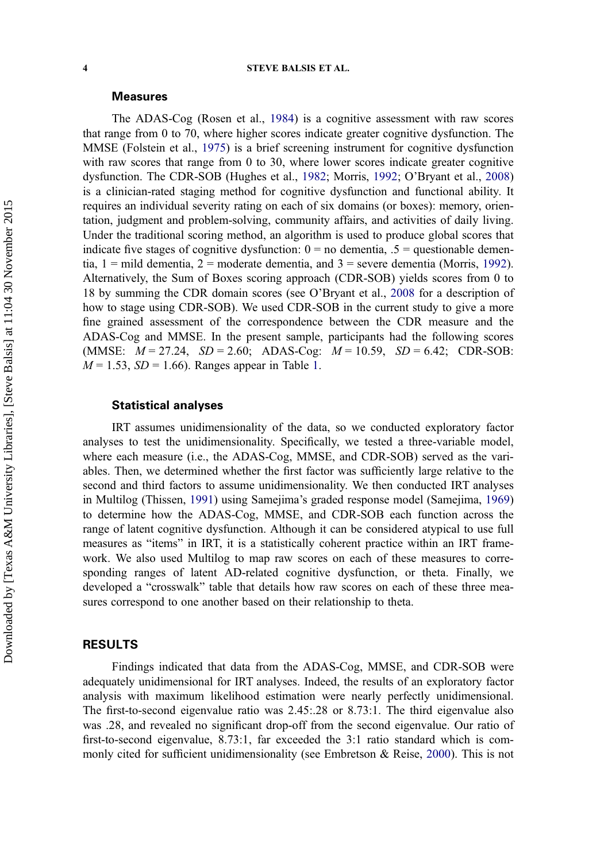#### 4 STEVE BALSIS ET AL.

#### Measures

The ADAS-Cog (Rosen et al., [1984\)](#page-8-0) is a cognitive assessment with raw scores that range from 0 to 70, where higher scores indicate greater cognitive dysfunction. The MMSE (Folstein et al., [1975\)](#page-8-0) is a brief screening instrument for cognitive dysfunction with raw scores that range from 0 to 30, where lower scores indicate greater cognitive dysfunction. The CDR-SOB (Hughes et al., [1982](#page-8-0); Morris, [1992;](#page-8-0) O'Bryant et al., [2008](#page-8-0)) is a clinician-rated staging method for cognitive dysfunction and functional ability. It requires an individual severity rating on each of six domains (or boxes): memory, orientation, judgment and problem-solving, community affairs, and activities of daily living. Under the traditional scoring method, an algorithm is used to produce global scores that indicate five stages of cognitive dysfunction:  $0 =$  no dementia, .5 = questionable dementia,  $1 = \text{mild}$  dementia,  $2 = \text{moderate}$  dementia, and  $3 = \text{severe}$  dementia (Morris, [1992\)](#page-8-0). Alternatively, the Sum of Boxes scoring approach (CDR-SOB) yields scores from 0 to 18 by summing the CDR domain scores (see O'Bryant et al., [2008](#page-8-0) for a description of how to stage using CDR-SOB). We used CDR-SOB in the current study to give a more fine grained assessment of the correspondence between the CDR measure and the ADAS-Cog and MMSE. In the present sample, participants had the following scores (MMSE:  $M = 27.24$ ,  $SD = 2.60$ ; ADAS-Cog:  $M = 10.59$ ,  $SD = 6.42$ ; CDR-SOB:  $M = 1.53$  $M = 1.53$  $M = 1.53$ ,  $SD = 1.66$ ). Ranges appear in Table 1.

#### Statistical analyses

IRT assumes unidimensionality of the data, so we conducted exploratory factor analyses to test the unidimensionality. Specifically, we tested a three-variable model, where each measure (i.e., the ADAS-Cog, MMSE, and CDR-SOB) served as the variables. Then, we determined whether the first factor was sufficiently large relative to the second and third factors to assume unidimensionality. We then conducted IRT analyses in Multilog (Thissen, [1991\)](#page-8-0) using Samejima's graded response model (Samejima, [1969](#page-8-0)) to determine how the ADAS-Cog, MMSE, and CDR-SOB each function across the range of latent cognitive dysfunction. Although it can be considered atypical to use full measures as "items" in IRT, it is a statistically coherent practice within an IRT framework. We also used Multilog to map raw scores on each of these measures to corresponding ranges of latent AD-related cognitive dysfunction, or theta. Finally, we developed a "crosswalk" table that details how raw scores on each of these three measures correspond to one another based on their relationship to theta.

#### RESULTS

Findings indicated that data from the ADAS-Cog, MMSE, and CDR-SOB were adequately unidimensional for IRT analyses. Indeed, the results of an exploratory factor analysis with maximum likelihood estimation were nearly perfectly unidimensional. The first-to-second eigenvalue ratio was 2.45:.28 or 8.73:1. The third eigenvalue also was .28, and revealed no significant drop-off from the second eigenvalue. Our ratio of first-to-second eigenvalue, 8.73:1, far exceeded the 3:1 ratio standard which is commonly cited for sufficient unidimensionality (see Embretson & Reise, [2000\)](#page-8-0). This is not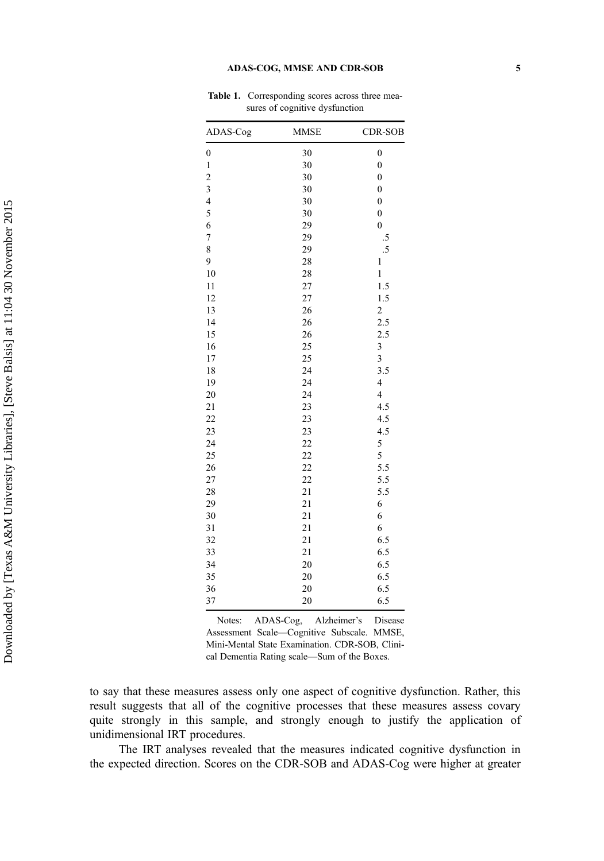#### ADAS-COG, MMSE AND CDR-SOB 5

| ADAS-Cog         | <b>MMSE</b>     | <b>CDR-SOB</b>           |
|------------------|-----------------|--------------------------|
| $\boldsymbol{0}$ | 30              | $\boldsymbol{0}$         |
| $\mathbf{1}$     | 30              | $\boldsymbol{0}$         |
| $\overline{c}$   | 30              | $\overline{0}$           |
| 3                | 30              | $\overline{0}$           |
| $\overline{4}$   | 30              | $\overline{0}$           |
| 5                | 30              | $\mathbf{0}$             |
| 6                | 29              | $\overline{0}$           |
| $\overline{7}$   | 29              | .5                       |
| 8                | 29              | .5                       |
| 9                | 28              | $\,1$                    |
| 10               | 28              | $\mathbf{1}$             |
| 11               | 27              | 1.5                      |
| 12               | 27              | 1.5                      |
| 13               | 26              | $\overline{c}$           |
| 14               | 26              | 2.5                      |
| 15               | 26              | 2.5                      |
| 16               | 25              | 3                        |
| 17               | 25              | 3                        |
| 18               | 24              | 3.5                      |
| 19               | 24              | $\overline{\mathcal{L}}$ |
| 20               | 24              | $\overline{\mathbf{4}}$  |
| 21               | 23              | 4.5                      |
| 22               | 23              | 4.5                      |
| 23               | 23              | 4.5                      |
| 24               | 22              | 5                        |
| 25               | 22              | 5                        |
| 26               | 22              | 5.5                      |
| 27               | $\overline{22}$ | 5.5                      |
| 28               | 21              | 5.5                      |
| 29               | $\overline{21}$ | 6                        |
| 30               | 21              | 6                        |
| 31               | $\overline{21}$ | 6                        |
| 32               | 21              | 6.5                      |
| 33               | 21              | 6.5                      |
| 34               | 20              | 6.5                      |
| 35               | 20              | 6.5                      |
| 36               | 20              | 6.5                      |
| 37               | 20              | 6.5                      |

<span id="page-5-0"></span>Table 1. Corresponding scores across three measures of cognitive dysfunction

Notes: ADAS-Cog, Alzheimer's Disease Assessment Scale—Cognitive Subscale. MMSE, Mini-Mental State Examination. CDR-SOB, Clinical Dementia Rating scale—Sum of the Boxes.

to say that these measures assess only one aspect of cognitive dysfunction. Rather, this result suggests that all of the cognitive processes that these measures assess covary quite strongly in this sample, and strongly enough to justify the application of unidimensional IRT procedures.

The IRT analyses revealed that the measures indicated cognitive dysfunction in the expected direction. Scores on the CDR-SOB and ADAS-Cog were higher at greater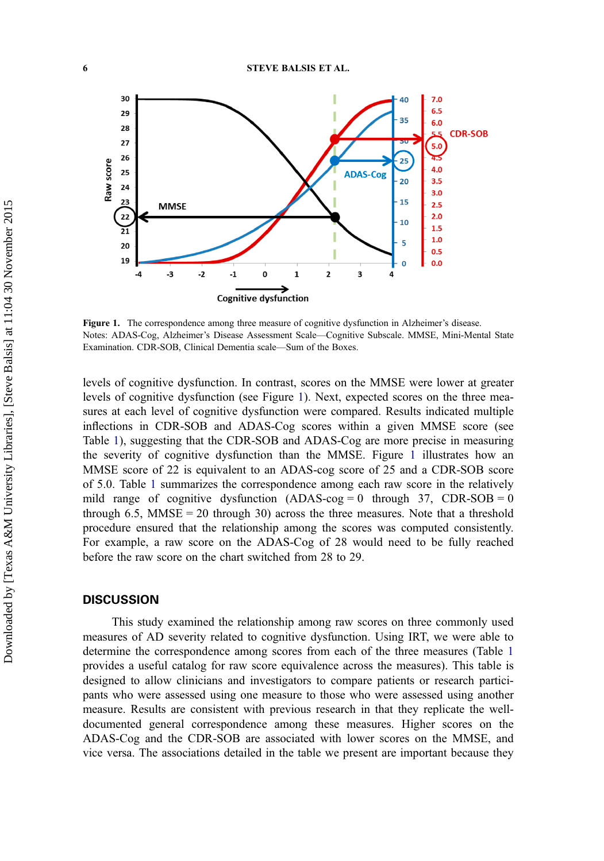

Figure 1. The correspondence among three measure of cognitive dysfunction in Alzheimer's disease. Notes: ADAS-Cog, Alzheimer's Disease Assessment Scale—Cognitive Subscale. MMSE, Mini-Mental State Examination. CDR-SOB, Clinical Dementia scale—Sum of the Boxes.

levels of cognitive dysfunction. In contrast, scores on the MMSE were lower at greater levels of cognitive dysfunction (see Figure 1). Next, expected scores on the three measures at each level of cognitive dysfunction were compared. Results indicated multiple inflections in CDR-SOB and ADAS-Cog scores within a given MMSE score (see Table [1](#page-5-0)), suggesting that the CDR-SOB and ADAS-Cog are more precise in measuring the severity of cognitive dysfunction than the MMSE. Figure 1 illustrates how an MMSE score of 22 is equivalent to an ADAS-cog score of 25 and a CDR-SOB score of 5.0. Table [1](#page-5-0) summarizes the correspondence among each raw score in the relatively mild range of cognitive dysfunction (ADAS-cog = 0 through 37, CDR-SOB = 0 through 6.5, MMSE = 20 through 30) across the three measures. Note that a threshold procedure ensured that the relationship among the scores was computed consistently. For example, a raw score on the ADAS-Cog of 28 would need to be fully reached before the raw score on the chart switched from 28 to 29.

# **DISCUSSION**

This study examined the relationship among raw scores on three commonly used measures of AD severity related to cognitive dysfunction. Using IRT, we were able to determine the correspondence among scores from each of the three measures (Table [1](#page-5-0) provides a useful catalog for raw score equivalence across the measures). This table is designed to allow clinicians and investigators to compare patients or research participants who were assessed using one measure to those who were assessed using another measure. Results are consistent with previous research in that they replicate the welldocumented general correspondence among these measures. Higher scores on the ADAS-Cog and the CDR-SOB are associated with lower scores on the MMSE, and vice versa. The associations detailed in the table we present are important because they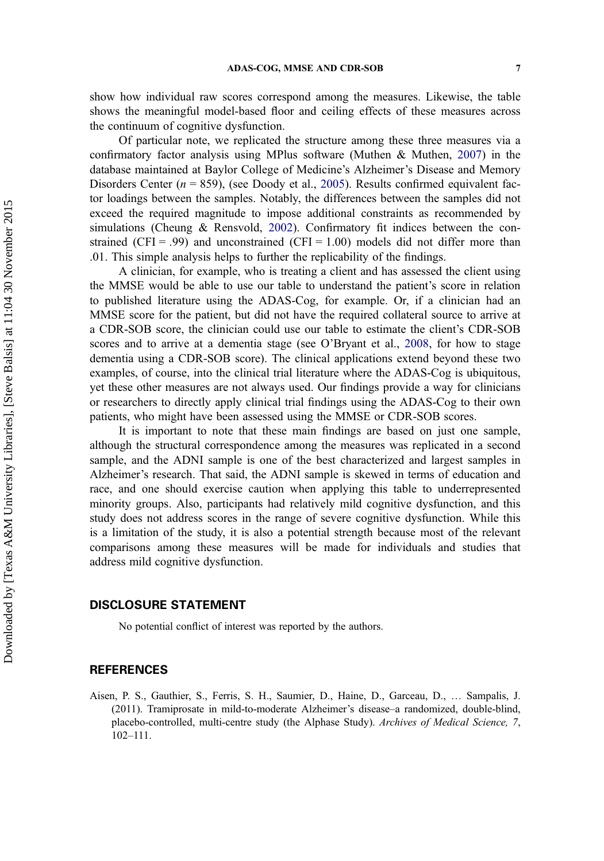<span id="page-7-0"></span>show how individual raw scores correspond among the measures. Likewise, the table shows the meaningful model-based floor and ceiling effects of these measures across the continuum of cognitive dysfunction.

Of particular note, we replicated the structure among these three measures via a confirmatory factor analysis using MPlus software (Muthen & Muthen, [2007](#page-8-0)) in the database maintained at Baylor College of Medicine's Alzheimer's Disease and Memory Disorders Center ( $n = 859$ ), (see Doody et al., [2005\)](#page-8-0). Results confirmed equivalent factor loadings between the samples. Notably, the differences between the samples did not exceed the required magnitude to impose additional constraints as recommended by simulations (Cheung & Rensvold, [2002\)](#page-8-0). Confirmatory fit indices between the constrained (CFI = .99) and unconstrained (CFI = 1.00) models did not differ more than .01. This simple analysis helps to further the replicability of the findings.

A clinician, for example, who is treating a client and has assessed the client using the MMSE would be able to use our table to understand the patient's score in relation to published literature using the ADAS-Cog, for example. Or, if a clinician had an MMSE score for the patient, but did not have the required collateral source to arrive at a CDR-SOB score, the clinician could use our table to estimate the client's CDR-SOB scores and to arrive at a dementia stage (see O'Bryant et al., [2008,](#page-8-0) for how to stage dementia using a CDR-SOB score). The clinical applications extend beyond these two examples, of course, into the clinical trial literature where the ADAS-Cog is ubiquitous, yet these other measures are not always used. Our findings provide a way for clinicians or researchers to directly apply clinical trial findings using the ADAS-Cog to their own patients, who might have been assessed using the MMSE or CDR-SOB scores.

It is important to note that these main findings are based on just one sample, although the structural correspondence among the measures was replicated in a second sample, and the ADNI sample is one of the best characterized and largest samples in Alzheimer's research. That said, the ADNI sample is skewed in terms of education and race, and one should exercise caution when applying this table to underrepresented minority groups. Also, participants had relatively mild cognitive dysfunction, and this study does not address scores in the range of severe cognitive dysfunction. While this is a limitation of the study, it is also a potential strength because most of the relevant comparisons among these measures will be made for individuals and studies that address mild cognitive dysfunction.

# DISCLOSURE STATEMENT

No potential conflict of interest was reported by the authors.

# REFERENCES

Aisen, P. S., Gauthier, S., Ferris, S. H., Saumier, D., Haine, D., Garceau, D., … Sampalis, J. (2011). Tramiprosate in mild-to-moderate Alzheimer's disease–a randomized, double-blind, placebo-controlled, multi-centre study (the Alphase Study). Archives of Medical Science, 7, 102–111.